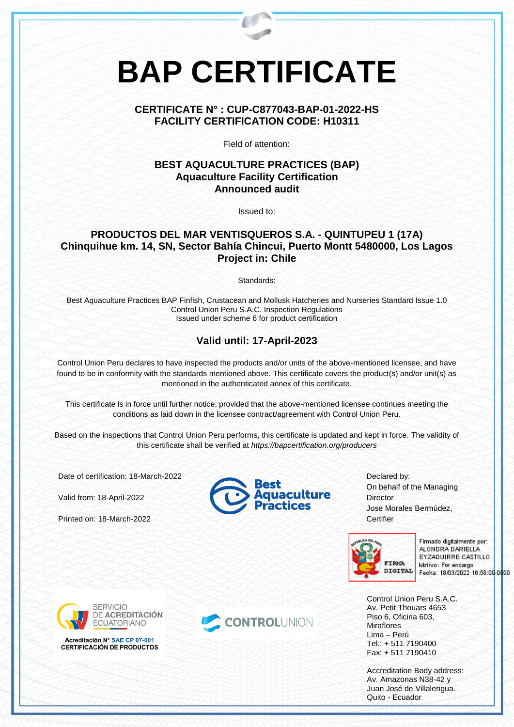# **BAP CERTIFICATE**

#### **CERTIFICATE N° : CUP-C877043-BAP-01-2022-HS FACILITY CERTIFICATION CODE: H10311**

Field of attention:

#### **BEST AQUACULTURE PRACTICES (BAP) Aquaculture Facility Certification Announced audit**

Issued to:

### **PRODUCTOS DEL MAR VENTISQUEROS S.A. - QUINTUPEU 1 (17A) Chinquihue km. 14, SN, Sector Bahía Chincui, Puerto Montt 5480000, Los Lagos Project in: Chile**

Standards:

Best Aquaculture Practices BAP Finfish, Crustacean and Mollusk Hatcheries and Nurseries Standard Issue 1.0 Control Union Peru S.A.C. Inspection Regulations Issued under scheme 6 for product certification

## **Valid until: 17-April-2023**

Control Union Peru declares to have inspected the products and/or units of the above-mentioned licensee, and have found to be in conformity with the standards mentioned above. This certificate covers the product(s) and/or unit(s) as mentioned in the authenticated annex of this certificate.

This certificate is in force until further notice, provided that the above-mentioned licensee continues meeting the conditions as laid down in the licensee contract/agreement with Control Union Peru.

Based on the inspections that Control Union Peru performs, this certificate is updated and kept in force. The validity of this certificate shall be verified at *<https://bapcertification.org/producers>*

Date of certification: 18-March-2022

Valid from: 18-April-2022

Printed on: 18-March-2022



Declared by: On behalf of the Managing **Director** Jose Morales Bermúdez, **Certifier** 



Firmado digitalmente por: ALONDRA DARIELLA EYZAGUIRRE CASTILLO Motivo: Por encargo Fecha: 18/03/2022 16:58:00-0500

Control Union Peru S.A.C. Av. Petit Thouars 4653 Piso 6, Oficina 603, **Miraflores** Lima – Perú Tel.: + 511 7190400 Fax: + 511 7190410

Accreditation Body address: Av. Amazonas N38-42 y Juan José de Villalengua. Quito - Ecuador